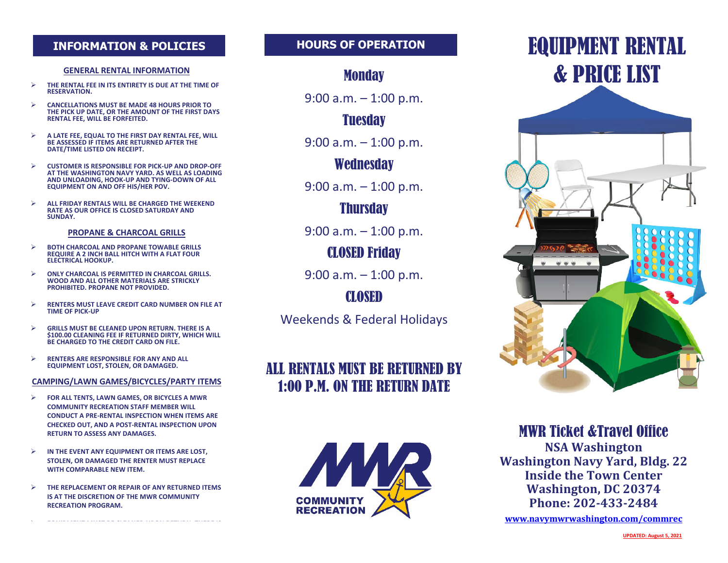#### **INFORMATION & POLICIES HOURS OF OPERATION**

#### **GENERAL RENTAL INFORMATION**

- Ø **THE RENTAL FEE IN ITS ENTIRETY IS DUE AT THE TIME OF RESERVATION.**
- Ø **CANCELLATIONS MUST BE MADE 48 HOURS PRIOR TO THE PICK UP DATE, OR THE AMOUNT OF THE FIRST DAYS RENTAL FEE, WILL BE FORFEITED.**
- Ø **A LATE FEE, EQUAL TO THE FIRST DAY RENTAL FEE, WILL BE ASSESSED IF ITEMS ARE RETURNED AFTER THE DATE/TIME LISTED ON RECEIPT.**
- Ø **CUSTOMER IS RESPONSIBLE FOR PICK-UP AND DROP-OFF AT THE WASHINGTON NAVY YARD. AS WELL AS LOADING AND UNLOADING, HOOK-UP AND TYING-DOWN OF ALL EQUIPMENT ON AND OFF HIS/HER POV.**
- Ø **ALL FRIDAY RENTALS WILL BE CHARGED THE WEEKEND RATE AS OUR OFFICE IS CLOSED SATURDAY AND SUNDAY.**

#### **PROPANE & CHARCOAL GRILLS**

- Ø **BOTH CHARCOAL AND PROPANE TOWABLE GRILLS REQUIRE A 2 INCH BALL HITCH WITH A FLAT FOUR ELECTRICAL HOOKUP.**
- Ø **ONLY CHARCOAL IS PERMITTED IN CHARCOAL GRILLS. WOOD AND ALL OTHER MATERIALS ARE STRICKLY PROHIBITED. PROPANE NOT PROVIDED.**
- Ø **RENTERS MUST LEAVE CREDIT CARD NUMBER ON FILE AT TIME OF PICK-UP**
- Ø **GRILLS MUST BE CLEANED UPON RETURN. THERE IS A \$100.00 CLEANING FEE IF RETURNED DIRTY, WHICH WILL BE CHARGED TO THE CREDIT CARD ON FILE.**
- Ø **RENTERS ARE RESPONSIBLE FOR ANY AND ALL EQUIPMENT LOST, STOLEN, OR DAMAGED.**

#### **CAMPING/LAWN GAMES/BICYCLES/PARTY ITEMS**

- Ø **FOR ALL TENTS, LAWN GAMES, OR BICYCLES A MWR COMMUNITY RECREATION STAFF MEMBER WILL CONDUCT A PRE-RENTAL INSPECTION WHEN ITEMS ARE CHECKED OUT, AND A POST-RENTAL INSPECTION UPON RETURN TO ASSESS ANY DAMAGES.**
- Ø **IN THE EVENT ANY EQUIPMENT OR ITEMS ARE LOST, STOLEN, OR DAMAGED THE RENTER MUST REPLACE WITH COMPARABLE NEW ITEM.**
- Ø **THE REPLACEMENT OR REPAIR OF ANY RETURNED ITEMS IS AT THE DISCRETION OF THE MWR COMMUNITY RECREATION PROGRAM.**

#### **Monday**

9:00 a.m. – 1:00 p.m.

## **Tuesday**

9:00 a.m. – 1:00 p.m.

## **Wednesday**

9:00 a.m. – 1:00 p.m.

#### **Thursday**

9:00 a.m. – 1:00 p.m.

## CLOSED Friday

9:00 a.m. – 1:00 p.m.

#### CLOSED

Weekends & Federal Holidays

# ALL RENTALS MUST BE RETURNED BY 1:00 P.M. ON THE RETURN DATE



# EQUIPMENT RENTAL & PRICE LIST



#### MWR Ticket &Travel Office

**NSA Washington Washington Navy Yard, Bldg. 22 Inside the Town Center Washington, DC 20374 Phone: 202-433-2484**

**www.navymwrwashington.com/commrec**